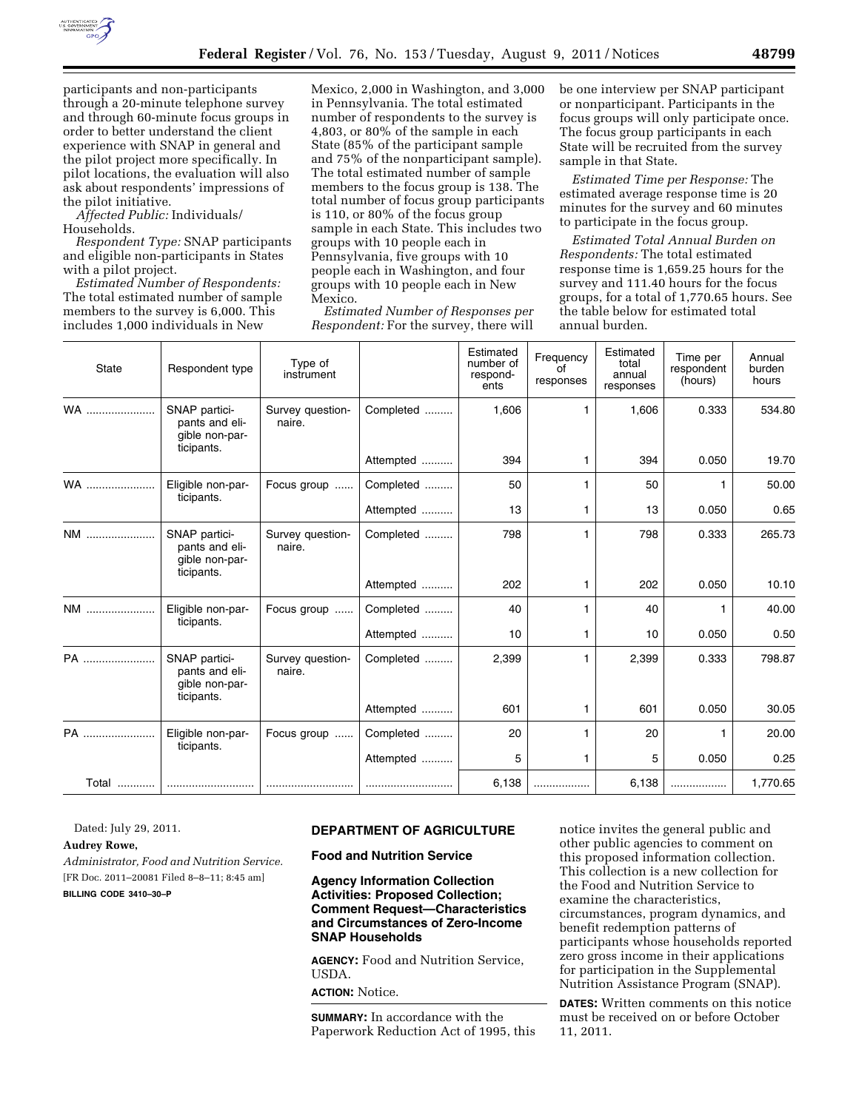

participants and non-participants through a 20-minute telephone survey and through 60-minute focus groups in order to better understand the client experience with SNAP in general and the pilot project more specifically. In pilot locations, the evaluation will also ask about respondents' impressions of the pilot initiative.

*Affected Public:* Individuals/ Households.

*Respondent Type:* SNAP participants and eligible non-participants in States with a pilot project.

*Estimated Number of Respondents:*  The total estimated number of sample members to the survey is 6,000. This includes 1,000 individuals in New

Mexico, 2,000 in Washington, and 3,000 in Pennsylvania. The total estimated number of respondents to the survey is 4,803, or 80% of the sample in each State (85% of the participant sample and 75% of the nonparticipant sample). The total estimated number of sample members to the focus group is 138. The total number of focus group participants is 110, or 80% of the focus group sample in each State. This includes two groups with 10 people each in Pennsylvania, five groups with 10 people each in Washington, and four groups with 10 people each in New Mexico.

*Estimated Number of Responses per Respondent:* For the survey, there will be one interview per SNAP participant or nonparticipant. Participants in the focus groups will only participate once. The focus group participants in each State will be recruited from the survey sample in that State.

*Estimated Time per Response:* The estimated average response time is 20 minutes for the survey and 60 minutes to participate in the focus group.

*Estimated Total Annual Burden on Respondents:* The total estimated response time is 1,659.25 hours for the survey and 111.40 hours for the focus groups, for a total of 1,770.65 hours. See the table below for estimated total annual burden.

| <b>State</b> | Respondent type                                                 | Type of<br>instrument      |           | Estimated<br>number of<br>respond-<br>ents | Frequency<br>οf<br>responses | Estimated<br>total<br>annual<br>responses | Time per<br>respondent<br>(hours) | Annual<br>burden<br>hours |
|--------------|-----------------------------------------------------------------|----------------------------|-----------|--------------------------------------------|------------------------------|-------------------------------------------|-----------------------------------|---------------------------|
| WA           | SNAP partici-<br>pants and eli-<br>gible non-par-               | Survey question-<br>naire. | Completed | 1,606                                      |                              | 1,606                                     | 0.333                             | 534.80                    |
|              | ticipants.                                                      |                            | Attempted | 394                                        | 1                            | 394                                       | 0.050                             | 19.70                     |
| WA           | Eligible non-par-                                               | Focus group                | Completed | 50                                         | 1                            | 50                                        |                                   | 50.00                     |
|              | ticipants.                                                      |                            | Attempted | 13                                         | 1                            | 13                                        | 0.050                             | 0.65                      |
| NM           | SNAP partici-<br>pants and eli-<br>gible non-par-               | Survey question-<br>naire. | Completed | 798                                        | 1                            | 798                                       | 0.333                             | 265.73                    |
|              | ticipants.                                                      |                            | Attempted | 202                                        | 1                            | 202                                       | 0.050                             | 10.10                     |
| NM           | Eligible non-par-<br>ticipants.                                 | Focus group                | Completed | 40                                         | 1                            | 40                                        | 1                                 | 40.00                     |
|              |                                                                 |                            | Attempted | 10                                         | 1                            | 10                                        | 0.050                             | 0.50                      |
| PA           | SNAP partici-<br>pants and eli-<br>gible non-par-<br>ticipants. | Survey question-<br>naire. | Completed | 2,399                                      | 1                            | 2,399                                     | 0.333                             | 798.87                    |
|              |                                                                 |                            | Attempted | 601                                        | 1                            | 601                                       | 0.050                             | 30.05                     |
| PA           | Eligible non-par-<br>ticipants.                                 | Focus group                | Completed | 20                                         |                              | 20                                        |                                   | 20.00                     |
|              |                                                                 |                            | Attempted | 5                                          | 1                            | 5                                         | 0.050                             | 0.25                      |
| Total  I     |                                                                 |                            |           | 6,138                                      |                              | 6,138                                     | .                                 | 1,770.65                  |

Dated: July 29, 2011.

#### **Audrey Rowe,**

*Administrator, Food and Nutrition Service.*  [FR Doc. 2011–20081 Filed 8–8–11; 8:45 am] **BILLING CODE 3410–30–P** 

# **DEPARTMENT OF AGRICULTURE**

**Food and Nutrition Service** 

**Agency Information Collection Activities: Proposed Collection; Comment Request—Characteristics and Circumstances of Zero-Income SNAP Households** 

**AGENCY:** Food and Nutrition Service, USDA.

**ACTION:** Notice.

**SUMMARY:** In accordance with the Paperwork Reduction Act of 1995, this notice invites the general public and other public agencies to comment on this proposed information collection. This collection is a new collection for the Food and Nutrition Service to examine the characteristics, circumstances, program dynamics, and benefit redemption patterns of participants whose households reported zero gross income in their applications for participation in the Supplemental Nutrition Assistance Program (SNAP).

**DATES:** Written comments on this notice must be received on or before October 11, 2011.